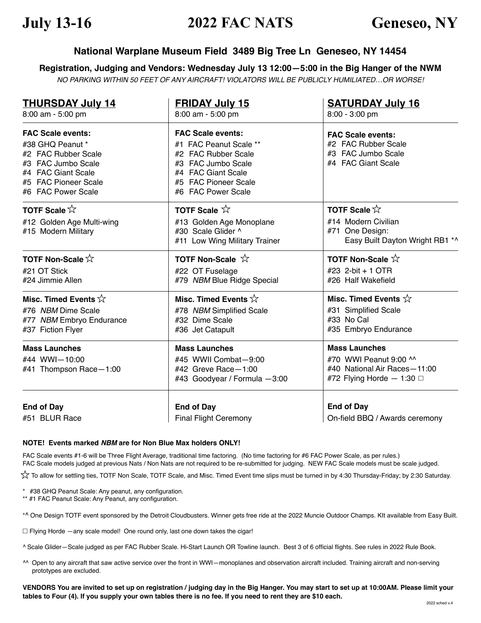## **National Warplane Museum Field 3489 Big Tree Ln Geneseo, NY 14454**

**Registration, Judging and Vendors: Wednesday July 13 12:00—5:00 in the Big Hanger of the NWM**

*NO PARKING WITHIN 50 FEET OF ANY AIRCRAFT! VIOLATORS WILL BE PUBLICLY HUMILIATED…OR WORSE!*

| <b>THURSDAY July 14</b>                                                                                                                                       | <b>FRIDAY July 15</b>                                                                                                                                               | <b>SATURDAY July 16</b>                                                                     |  |
|---------------------------------------------------------------------------------------------------------------------------------------------------------------|---------------------------------------------------------------------------------------------------------------------------------------------------------------------|---------------------------------------------------------------------------------------------|--|
| 8:00 am - 5:00 pm                                                                                                                                             | 8:00 am - 5:00 pm                                                                                                                                                   | $8:00 - 3:00$ pm                                                                            |  |
| <b>FAC Scale events:</b><br>#38 GHQ Peanut *<br>#2 FAC Rubber Scale<br>#3 FAC Jumbo Scale<br>#4 FAC Giant Scale<br>#5 FAC Pioneer Scale<br>#6 FAC Power Scale | <b>FAC Scale events:</b><br>#1 FAC Peanut Scale **<br>#2 FAC Rubber Scale<br>#3 FAC Jumbo Scale<br>#4 FAC Giant Scale<br>#5 FAC Pioneer Scale<br>#6 FAC Power Scale | <b>FAC Scale events:</b><br>#2 FAC Rubber Scale<br>#3 FAC Jumbo Scale<br>#4 FAC Giant Scale |  |
| TOTF Scale $\sqrt{\lambda}$                                                                                                                                   | TOTF Scale $\sqrt{\lambda}$                                                                                                                                         | <b>TOTF Scale</b> $\sqrt{\lambda}$                                                          |  |
| #12 Golden Age Multi-wing<br>#15 Modern Military                                                                                                              | #13 Golden Age Monoplane<br>#30 Scale Glider ^<br>#11 Low Wing Military Trainer                                                                                     | #14 Modern Civilian<br>#71 One Design:<br>Easy Built Dayton Wright RB1 *^                   |  |
| TOTF Non-Scale $\sqrt{\mathbf{x}}$                                                                                                                            | TOTF Non-Scale $\sqrt{\chi}$                                                                                                                                        | <b>TOTF Non-Scale</b> $\sqrt{\chi}$                                                         |  |
| #21 OT Stick<br>#24 Jimmie Allen                                                                                                                              | #22 OT Fuselage<br>#79 NBM Blue Ridge Special                                                                                                                       | #23 2-bit + 1 OTR<br>#26 Half Wakefield                                                     |  |
| Misc. Timed Events $\sqrt{\chi}$                                                                                                                              | Misc. Timed Events $\sqrt[k]{x}$                                                                                                                                    | Misc. Timed Events $\sqrt{\chi}$                                                            |  |
| #76 NBM Dime Scale<br>#77 NBM Embryo Endurance<br>#37 Fiction Flyer                                                                                           | #78 NBM Simplified Scale<br>#32 Dime Scale<br>#36 Jet Catapult                                                                                                      | #31 Simplified Scale<br>#33 No Cal<br>#35 Embryo Endurance                                  |  |
| <b>Mass Launches</b>                                                                                                                                          | <b>Mass Launches</b>                                                                                                                                                | <b>Mass Launches</b>                                                                        |  |
| #44 WWI-10:00<br>#41 Thompson Race-1:00                                                                                                                       | #45 WWII Combat-9:00<br>#42 Greve Race-1:00                                                                                                                         | #70 WWI Peanut 9:00 ^^<br>#40 National Air Races-11:00<br>#72 Flying Horde $-$ 1:30 $\Box$  |  |
| <b>End of Day</b>                                                                                                                                             | #43 Goodyear / Formula -3:00<br><b>End of Day</b>                                                                                                                   | <b>End of Day</b>                                                                           |  |
| #51 BLUR Race                                                                                                                                                 | <b>Final Flight Ceremony</b>                                                                                                                                        | On-field BBQ / Awards ceremony                                                              |  |

## **NOTE! Events marked** *NBM* **are for Non Blue Max holders ONLY!**

FAC Scale events #1-6 will be Three Flight Average, traditional time factoring. (No time factoring for #6 FAC Power Scale, as per rules.) FAC Scale models judged at previous Nats / Non Nats are not required to be re-submitted for judging. NEW FAC Scale models must be scale judged.

☆ To allow for settling ties, TOTF Non Scale, TOTF Scale, and Misc. Timed Event time slips must be turned in by 4:30 Thursday-Friday; by 2:30 Saturday.

\* #38 GHQ Peanut Scale: Any peanut, any configuration.

\*\* #1 FAC Peanut Scale: Any Peanut, any configuration.

- \*^ One Design TOTF event sponsored by the Detroit Cloudbusters. Winner gets free ride at the 2022 Muncie Outdoor Champs. KIt available from Easy Built.
- $\Box$  Flying Horde  $-$ any scale model! One round only, last one down takes the cigar!
- ^ Scale Glider—Scale judged as per FAC Rubber Scale. Hi-Start Launch OR Towline launch. Best 3 of 6 official flights. See rules in 2022 Rule Book.
- ^^ Open to any aircraft that saw active service over the front in WWI—monoplanes and observation aircraft included. Training aircraft and non-serving prototypes are excluded.

**VENDORS You are invited to set up on registration / judging day in the Big Hanger. You may start to set up at 10:00AM. Please limit your tables to Four (4). If you supply your own tables there is no fee. If you need to rent they are \$10 each.**